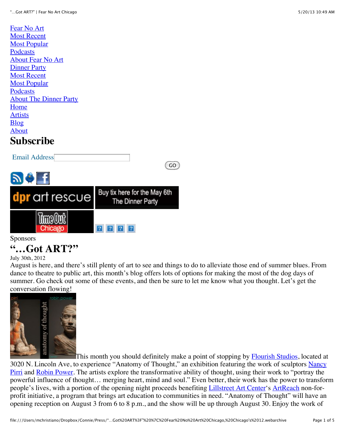| <b>Fear No Art</b>            |
|-------------------------------|
| <b>Most Recent</b>            |
| <b>Most Popular</b>           |
| Podcasts                      |
| <b>About Fear No Art</b>      |
| <b>Dinner Party</b>           |
| <b>Most Recent</b>            |
| <b>Most Popular</b>           |
| Podcasts                      |
| <b>About The Dinner Party</b> |
| Home                          |
| <b>Artists</b>                |
| Blog                          |
| <b>About</b>                  |
| Subscribe                     |



Sponsors

## **"…Got ART?"**

July 30th, 2012

August is here, and there's still plenty of art to see and things to do to alleviate those end of summer blues. From dance to theatre to public art, this month's blog offers lots of options for making the most of the dog days of summer. Go check out some of these events, and then be sure to let me know what you thought. Let's get the [conversation flowing!](http://fearnoartchicago.com/got-art-7/anatomyofthoughtfinalfront/)



This month you should definitely make a point of stopping by **Flourish Studios**, located at [3020 N. Lincoln Ave, to experience "Anatomy of Thought," an exhibition featuring the work of sculptors Nancy](http://www.npgraphx.com/) Pirri and [Robin Power.](http://www.robinpower.com/) The artists explore the transformative ability of thought, using their work to "portray the powerful influence of thought… merging heart, mind and soul." Even better, their work has the power to transform people's lives, with a portion of the opening night proceeds benefiting [Lillstreet Art Center'](http://fearnoartchicago.com/lillstreet-art-center-celebrates-35-years-of-creative-spark-2/)s [ArtReach](http://www.lillstreet.com/artreach) non-forprofit initiative, a program that brings art education to communities in need. "Anatomy of Thought" will have an opening reception on August 3 from 6 to 8 p.m., and the show will be up through August 30. Enjoy the work of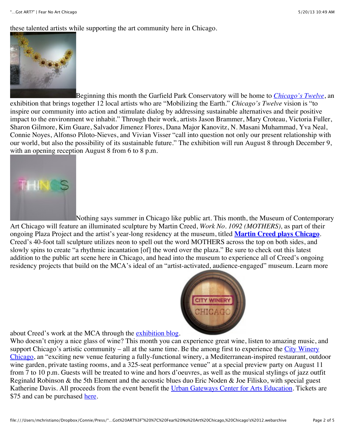these talented artists while supporting the art community here in Chicago.

[B](http://fearnoartchicago.com/got-art-7/chicagos-twelve/)eginning this month the Garfield Park Conservatory will be home to *[Chicago's Twelve](http://www.chicagostwelve.com/)*, an exhibition that brings together 12 local artists who are "Mobilizing the Earth." *Chicago's Twelve* vision is "to inspire our community into action and stimulate dialog by addressing sustainable alternatives and their positive impact to the environment we inhabit." Through their work, artists Jason Brammer, Mary Croteau, Victoria Fuller, Sharon Gilmore, Kim Guare, Salvador Jimenez Flores, Dana Major Kanovitz, N. Masani Muhammad, Yva Neal, Connie Noyes, Alfonso Piloto-Nieves, and Vivian Visser "call into question not only our present relationship with our world, but also the possibility of its sustainable future." The exhibition will run August 8 through December 9, with an opening reception August 8 from 6 to 8 p.m.



[N](http://fearnoartchicago.com/got-art-7/mcr_845_view1_h-0022/)othing says summer in Chicago like public art. This month, the Museum of Contemporary Art Chicago will feature an illuminated sculpture by Martin Creed, *Work No. 1092 (MOTHERS),* as part of their ongoing Plaza Project and the artist's year-long residency at the museum, titled **[Martin Creed plays Chicago](http://mcachicago.org/exhibitions/featured/mcpc/overview)**. Creed's 40-foot tall sculpture utilizes neon to spell out the word MOTHERS across the top on both sides, and slowly spins to create "a rhythmic incantation [of] the word over the plaza." Be sure to check out this latest addition to the public art scene here in Chicago, and head into the museum to experience all of Creed's ongoing residency projects that build on the MCA's ideal of an "artist-activated, audience-engaged" museum. Learn more



about Creed's work at the MCA through the <u>exhibition blog</u>.

Who doesn't enjoy a nice glass of wine? This month you can experience great wine, listen to amazing music, and support Chicago's artistic community – all at the same time. Be the among first to experience the City Winery [Chicago, an "exciting new venue featuring a fully-functional winery, a Mediterranean-inspired restaurant, outd](http://www.citywinery.com/chicago/)oor wine garden, private tasting rooms, and a 325-seat performance venue" at a special preview party on August 11 from 7 to 10 p.m. Guests will be treated to wine and hors d'oeuvres, as well as the musical stylings of jazz outfit Reginald Robinson & the 5th Element and the acoustic blues duo Eric Noden & Joe Filisko, with special guest Katherine Davis. All proceeds from the event benefit the [Urban Gateways Center for Arts Education](http://www.urbangateways.org/). Tickets are \$75 and can be purchased [here](http://www.urbangateways.org/city-winery-benefit/).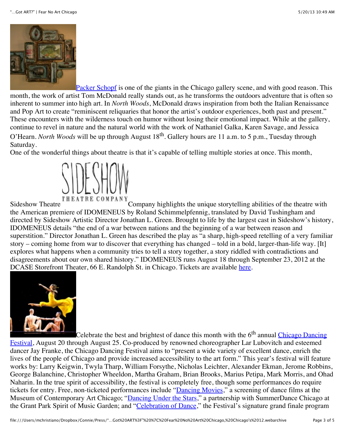

[Packer Schopf](http://packergallery.com/) is one of the giants in the Chicago gallery scene, and with good reason. This month, the work of artist Tom McDonald really stands out, as he transforms the outdoors adventure that is often so

inherent to summer into high art. In *North Woods*, McDonald draws inspiration from both the Italian Renaissance and Pop Art to create "reminiscent reliquaries that honor the artist's outdoor experiences, both past and present." These encounters with the wilderness touch on humor without losing their emotional impact. While at the gallery, continue to revel in nature and the natural world with the work of Nathaniel Galka, Karen Savage, and Jessica

O'Hearn. *North Woods* will be up through August 18<sup>th</sup>. Gallery hours are 11 a.m. to 5 p.m., Tuesday through Saturday.

One of the wonderful things about theatre is that it's capable of telling multiple stories at once. This month,



Sideshow Theatre **[C](http://fearnoartchicago.com/got-art-7/sideshow-theatre/)ompany** highlights the unique storytelling abilities of the theatre with the American premiere of IDOMENEUS by Roland Schimmelpfennig, translated by David Tushingham and directed by Sideshow Artistic Director Jonathan L. Green. Brought to life by the largest cast in Sideshow's history, IDOMENEUS details "the end of a war between nations and the beginning of a war between reason and superstition." Director Jonathan L. Green has described the play as "a sharp, high-speed retelling of a very familiar story – coming home from war to discover that everything has changed – told in a bold, larger-than-life way. [It] explores what happens when a community tries to tell a story together, a story riddled with contradictions and disagreements about our own shared history." IDOMENEUS runs August 18 through September 23, 2012 at the DCASE Storefront Theater, 66 E. Randolph St. in Chicago. Tickets are available [here.](http://www.sideshowtheatre.org/)



[C](http://fearnoartchicago.com/got-art-7/martha-graham-dance-company-3/)elebrate the best and brightest of dance this month with the  $6<sup>th</sup>$  annual Chicago Dancing [Festival, August 20 through August 25. Co-produced by renowned choreographer Lar Lubovitch and esteemed](http://chicagodancingfestival.com/) dancer Jay Franke, the Chicago Dancing Festival aims to "present a wide variety of excellent dance, enrich the lives of the people of Chicago and provide increased accessibility to the art form." This year's festival will feature works by: Larry Keigwin, Twyla Tharp, William Forsythe, Nicholas Leichter, Alexander Ekman, Jerome Robbins, George Balanchine, Christopher Wheeldon, Martha Graham, Brian Brooks, Marius Petipa, Mark Morris, and Ohad Naharin. In the true spirit of accessibility, the festival is completely free, though some performances do require tickets for entry. Free, non-ticketed performances include ["Dancing Movies,](http://chicagodancingfestival.com/Free-Dance-Event/dancing-movies.aspx)" a screening of dance films at the Museum of Contemporary Art Chicago; ["Dancing Under the Stars,](http://chicagodancingfestival.com/Free-Dance-Event/dancing-under-stars.aspx)" a partnership with SummerDance Chicago at the Grant Park Spirit of Music Garden; and ["Celebration of Dance,](http://chicagodancingfestival.com/Free-Dance-Event/celebration-dance-2012.aspx)" the Festival's signature grand finale program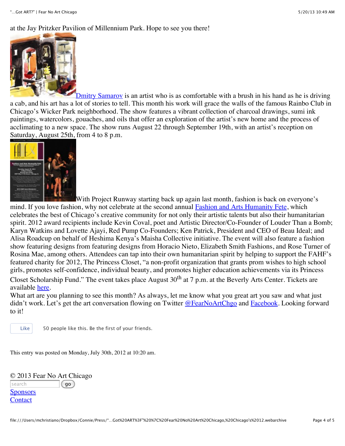at the Jay Pritzker Pavilion of Millennium Park. Hope to see you there!



[Dmitry Samarov](http://dmitrysamarov.com/welcome.html) is an artist who is as comfortable with a brush in his hand as he is driving a cab, and his art has a lot of stories to tell. This month his work will grace the walls of the famous Rainbo Club in Chicago's Wicker Park neighborhood. The show features a vibrant collection of charcoal drawings, sumi ink paintings, watercolors, gouaches, and oils that offer an exploration of the artist's new home and the process of acclimating to a new space. The show runs August 22 through September 19th, with an artist's reception on Saturday, August 25th, from 4 to 8 p.m.



[W](http://fearnoartchicago.com/got-art-7/fashion-fete/)ith Project Runway starting back up again last month, fashion is back on everyone's mind. If you love fashion, why not celebrate at the second annual **Fashion and Arts Humanity Fete**, which celebrates the best of Chicago's creative community for not only their artistic talents but also their humanitarian spirit. 2012 award recipients include Kevin Coval, poet and Artistic Director/Co-Founder of Louder Than a Bomb; Karyn Watkins and Lovette Ajayi, Red Pump Co-Founders; Ken Patrick, President and CEO of Beau Ideal; and Alisa Roadcup on behalf of Heshima Kenya's Maisha Collective initiative. The event will also feature a fashion show featuring designs from featuring designs from Horacio Nieto, Elizabeth Smith Fashions, and Rose Turner of Rosina Mae, among others. Attendees can tap into their own humanitarian spirit by helping to support the FAHF's featured charity for 2012, The Princess Closet, "a non-profit organization that grants prom wishes to high school girls, promotes self-confidence, individual beauty, and promotes higher education achievements via its Princess

Closet Scholarship Fund." The event takes place August  $30<sup>th</sup>$  at 7 p.m. at the Beverly Arts Center. Tickets are available [here.](https://www.vendini.com/ticket-software.html?e=7e5e8382d64aa21e457f14921224ec7a&t=tix)

What art are you planning to see this month? As always, let me know what you great art you saw and what just didn't work. Let's get the art conversation flowing on Twitter [@FearNoArtChgo](https://twitter.com/#%21/fearnoartchgo) and [Facebook.](http://www.facebook.com/pages/Fear-No-Art-Chicago/111983572155828) Looking forward to it!

Like 50 people like this. Be the first of your friends.

This entry was posted on Monday, July 30th, 2012 at 10:20 am.

© 2013 Fear No Art Chicago search (go) **[Sponsors](http://fearnoartchicago.com/category/sponsors/) [Contact](http://fearnoartchicago.com/contact)**